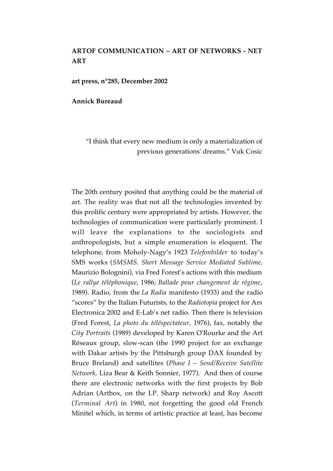## **ARTOF COMMUNICATION – ART OF NETWORKS - NET ART**

**art press, n°285, December 2002**

## **Annick Bureaud**

"I think that every new medium is only a materialization of previous generations' dreams." Vuk Cosic

The 20th century posited that anything could be the material of art. The reality was that not all the technologies invented by this prolific century were appropriated by artists. However, the technologies of communication were particularly prominent. I will leave the explanations to the sociologists and anthropologists, but a simple enumeration is eloquent. The telephone, from Moholy-Nagy's 1923 *Telefonbilder* to today's SMS works (*SMSMS. Short Message Service Mediated Sublime,* Maurizio Bolognini), via Fred Forest's actions with this medium (*Le rallye téléphonique*, 1986; *Ballade pour changement de régime*, 1989). Radio, from the *La Radia* manifesto (1933) and the radio "scores" by the Italian Futurists, to the *Radiotopia* project for Ars Electronica 2002 and E-Lab's net radio. Then there is television (Fred Forest, *La photo du téléspectateur*, 1976), fax, notably the *City Portraits* (1989) developed by Karen O'Rourke and the Art Réseaux group, slow-scan (the 1990 project for an exchange with Dakar artists by the Pittsburgh group DAX founded by Bruce Breland) and satellites (*Phase I – Send/Receive Satellite Network,* Liza Bear & Keith Sonnier, 1977). And then of course there are electronic networks with the first projects by Bob Adrian (Artbox, on the I.P. Sharp network) and Roy Ascott (*Terminal Art*) in 1980, not forgetting the good old French Minitel which, in terms of artistic practice at least, has become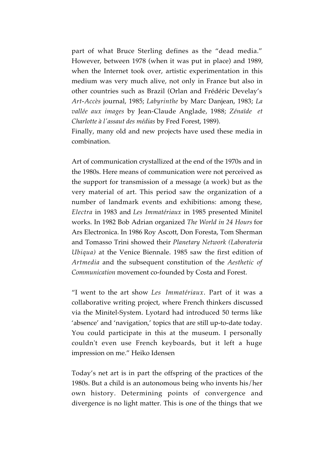part of what Bruce Sterling defines as the "dead media." However, between 1978 (when it was put in place) and 1989, when the Internet took over, artistic experimentation in this medium was very much alive, not only in France but also in other countries such as Brazil (Orlan and Frédéric Develay's *Art-Accès* journal, 1985; *Labyrinthe* by Marc Danjean, 1983; *La vallée aux images* by Jean-Claude Anglade, 1988; *Zénaïde et Charlotte à l'assaut des médias* by Fred Forest, 1989).

Finally, many old and new projects have used these media in combination.

Art of communication crystallized at the end of the 1970s and in the 1980s. Here means of communication were not perceived as the support for transmission of a message (a work) but as the very material of art. This period saw the organization of a number of landmark events and exhibitions: among these, *Electra* in 1983 and *Les Immatériaux* in 1985 presented Minitel works. In 1982 Bob Adrian organized *The World in 24 Hours* for Ars Electronica. In 1986 Roy Ascott, Don Foresta, Tom Sherman and Tomasso Trini showed their *Planetary Network (Laboratoria Ubiqua)* at the Venice Biennale. 1985 saw the first edition of *Artmedia* and the subsequent constitution of the *Aesthetic of Communication* movement co-founded by Costa and Forest.

"I went to the art show *Les Immatériaux*. Part of it was a collaborative writing project, where French thinkers discussed via the Minitel-System. Lyotard had introduced 50 terms like 'absence' and 'navigation,' topics that are still up-to-date today. You could participate in this at the museum. I personally couldn't even use French keyboards, but it left a huge impression on me." Heiko Idensen

Today's net art is in part the offspring of the practices of the 1980s. But a child is an autonomous being who invents his/her own history. Determining points of convergence and divergence is no light matter. This is one of the things that we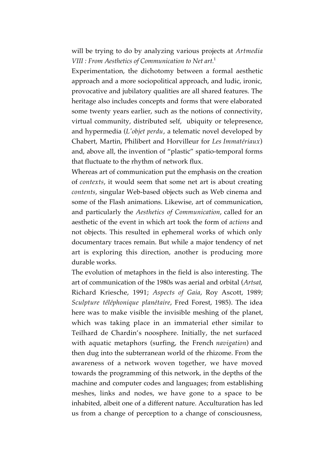will be trying to do by analyzing various projects at *Artmedia VIII : From Aesthetics of Communication to Net art.*<sup>1</sup>

Experimentation, the dichotomy between a formal aesthetic approach and a more sociopolitical approach, and ludic, ironic, provocative and jubilatory qualities are all shared features. The heritage also includes concepts and forms that were elaborated some twenty years earlier, such as the notions of connectivity, virtual community, distributed self, ubiquity or telepresence, and hypermedia (*L'objet perdu*, a telematic novel developed by Chabert, Martin, Philibert and Horvilleur for *Les Immatériaux*) and, above all, the invention of "plastic" spatio-temporal forms that fluctuate to the rhythm of network flux.

Whereas art of communication put the emphasis on the creation of *contexts*, it would seem that some net art is about creating *contents*, singular Web-based objects such as Web cinema and some of the Flash animations. Likewise, art of communication, and particularly the *Aesthetics of Communication*, called for an aesthetic of the event in which art took the form of *actions* and not objects. This resulted in ephemeral works of which only documentary traces remain. But while a major tendency of net art is exploring this direction, another is producing more durable works.

The evolution of metaphors in the field is also interesting. The art of communication of the 1980s was aerial and orbital (*Artsat*, Richard Kriesche, 1991; *Aspects of Gaia*, Roy Ascott, 1989; *Sculpture téléphonique planétaire*, Fred Forest, 1985). The idea here was to make visible the invisible meshing of the planet, which was taking place in an immaterial ether similar to Teilhard de Chardin's noosphere. Initially, the net surfaced with aquatic metaphors (surfing, the French *navigation*) and then dug into the subterranean world of the rhizome. From the awareness of a network woven together, we have moved towards the programming of this network, in the depths of the machine and computer codes and languages; from establishing meshes, links and nodes, we have gone to a space to be inhabited, albeit one of a different nature. Acculturation has led us from a change of perception to a change of consciousness,